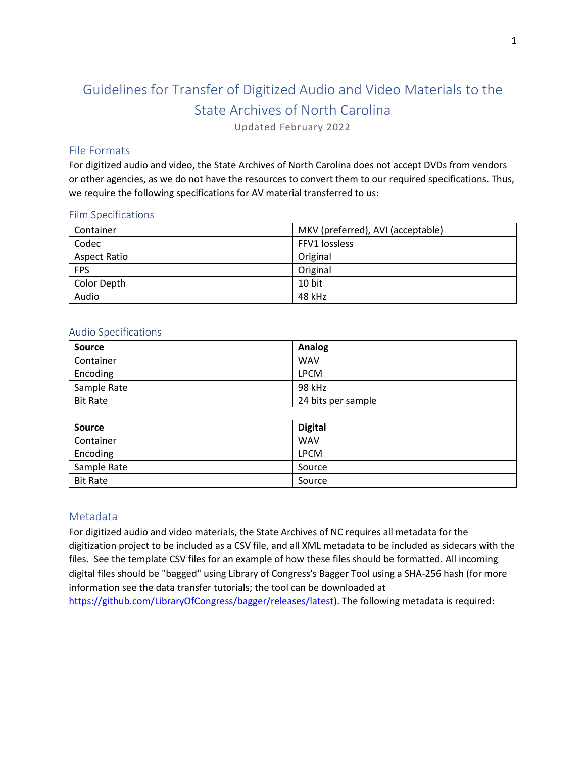# Guidelines for Transfer of Digitized Audio and Video Materials to the State Archives of North Carolina

Updated February 2022

## File Formats

For digitized audio and video, the State Archives of North Carolina does not accept DVDs from vendors or other agencies, as we do not have the resources to convert them to our required specifications. Thus, we require the following specifications for AV material transferred to us:

#### Film Specifications

| Container           | MKV (preferred), AVI (acceptable) |
|---------------------|-----------------------------------|
| Codec               | FFV1 lossless                     |
| <b>Aspect Ratio</b> | Original                          |
| <b>FPS</b>          | Original                          |
| Color Depth         | 10 bit                            |
| Audio               | 48 kHz                            |

#### Audio Specifications

| <b>Source</b>   | <b>Analog</b>      |
|-----------------|--------------------|
| Container       | <b>WAV</b>         |
| Encoding        | <b>LPCM</b>        |
| Sample Rate     | 98 kHz             |
| <b>Bit Rate</b> | 24 bits per sample |
|                 |                    |
| <b>Source</b>   | <b>Digital</b>     |
| Container       | <b>WAV</b>         |
| Encoding        | <b>LPCM</b>        |
| Sample Rate     | Source             |
| <b>Bit Rate</b> | Source             |

## Metadata

For digitized audio and video materials, the State Archives of NC requires all metadata for the digitization project to be included as a CSV file, and all XML metadata to be included as sidecars with the files. See the template CSV files for an example of how these files should be formatted. All incoming digital files should be "bagged" using Library of Congress's Bagger Tool using a SHA-256 hash (for more information see the data transfer tutorials; the tool can be downloaded at [https://github.com/LibraryOfCongress/bagger/releases/latest\)](https://github.com/LibraryOfCongress/bagger/releases/latest). The following metadata is required: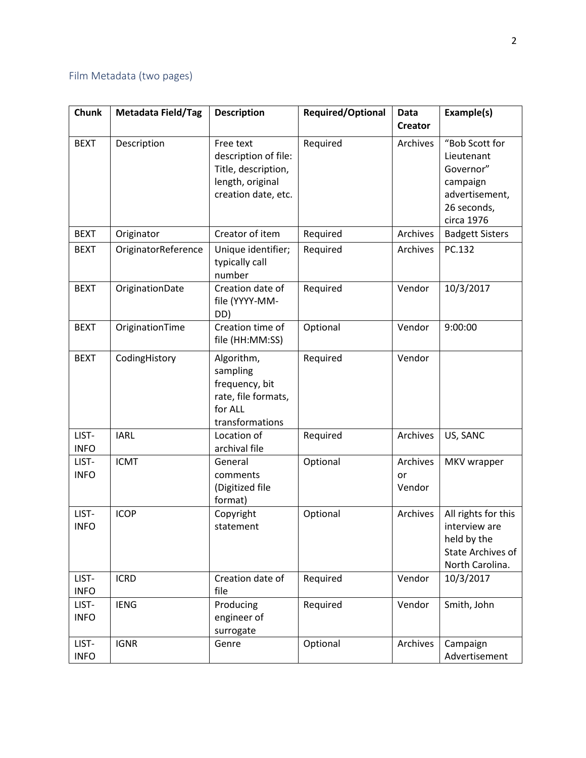# Film Metadata (two pages)

| <b>Chunk</b>         | <b>Metadata Field/Tag</b> | <b>Description</b>                                                                                  | Required/Optional | <b>Data</b><br><b>Creator</b> | Example(s)                                                                                           |
|----------------------|---------------------------|-----------------------------------------------------------------------------------------------------|-------------------|-------------------------------|------------------------------------------------------------------------------------------------------|
| <b>BEXT</b>          | Description               | Free text<br>description of file:<br>Title, description,<br>length, original<br>creation date, etc. | Required          | Archives                      | "Bob Scott for<br>Lieutenant<br>Governor"<br>campaign<br>advertisement,<br>26 seconds,<br>circa 1976 |
| <b>BEXT</b>          | Originator                | Creator of item                                                                                     | Required          | Archives                      | <b>Badgett Sisters</b>                                                                               |
| <b>BEXT</b>          | OriginatorReference       | Unique identifier;<br>typically call<br>number                                                      | Required          | Archives                      | PC.132                                                                                               |
| <b>BEXT</b>          | OriginationDate           | Creation date of<br>file (YYYY-MM-<br>DD)                                                           | Required          | Vendor                        | 10/3/2017                                                                                            |
| <b>BEXT</b>          | OriginationTime           | Creation time of<br>file (HH:MM:SS)                                                                 | Optional          | Vendor                        | 9:00:00                                                                                              |
| <b>BEXT</b>          | CodingHistory             | Algorithm,<br>sampling<br>frequency, bit<br>rate, file formats,<br>for ALL<br>transformations       | Required          | Vendor                        |                                                                                                      |
| LIST-<br><b>INFO</b> | <b>IARL</b>               | Location of<br>archival file                                                                        | Required          | Archives                      | US, SANC                                                                                             |
| LIST-<br><b>INFO</b> | <b>ICMT</b>               | General<br>comments<br>(Digitized file<br>format)                                                   | Optional          | Archives<br>or<br>Vendor      | MKV wrapper                                                                                          |
| LIST-<br><b>INFO</b> | <b>ICOP</b>               | Copyright<br>statement                                                                              | Optional          | Archives                      | All rights for this<br>interview are<br>held by the<br>State Archives of<br>North Carolina.          |
| LIST-<br><b>INFO</b> | <b>ICRD</b>               | Creation date of<br>file                                                                            | Required          | Vendor                        | 10/3/2017                                                                                            |
| LIST-<br><b>INFO</b> | <b>IENG</b>               | Producing<br>engineer of<br>surrogate                                                               | Required          | Vendor                        | Smith, John                                                                                          |
| LIST-<br><b>INFO</b> | <b>IGNR</b>               | Genre                                                                                               | Optional          | Archives                      | Campaign<br>Advertisement                                                                            |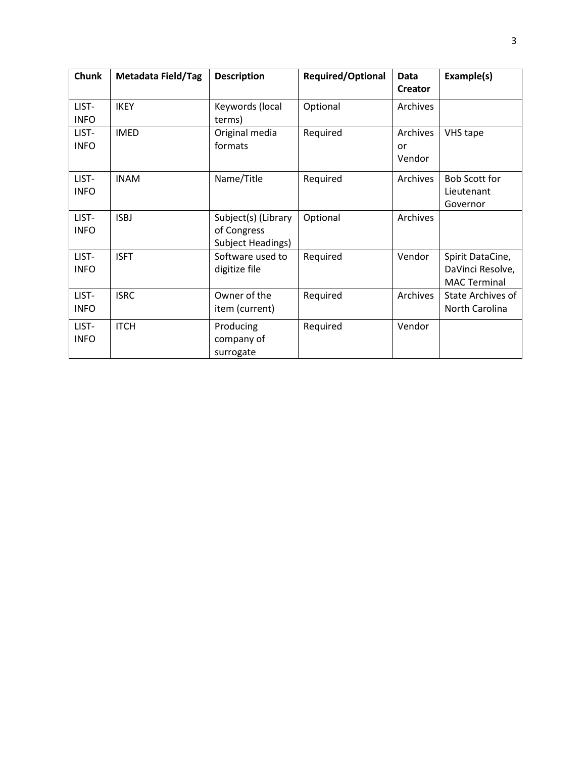| <b>Chunk</b>         | <b>Metadata Field/Tag</b> | <b>Description</b>                                      | <b>Required/Optional</b> | Data<br><b>Creator</b>   | Example(s)                                                  |
|----------------------|---------------------------|---------------------------------------------------------|--------------------------|--------------------------|-------------------------------------------------------------|
| LIST-<br><b>INFO</b> | <b>IKEY</b>               | Keywords (local<br>terms)                               | Optional                 | Archives                 |                                                             |
| LIST-<br><b>INFO</b> | <b>IMED</b>               | Original media<br>formats                               | Required                 | Archives<br>or<br>Vendor | VHS tape                                                    |
| LIST-<br><b>INFO</b> | <b>INAM</b>               | Name/Title                                              | Required                 | Archives                 | <b>Bob Scott for</b><br>Lieutenant<br>Governor              |
| LIST-<br><b>INFO</b> | <b>ISBJ</b>               | Subject(s) (Library<br>of Congress<br>Subject Headings) | Optional                 | Archives                 |                                                             |
| LIST-<br><b>INFO</b> | <b>ISFT</b>               | Software used to<br>digitize file                       | Required                 | Vendor                   | Spirit DataCine,<br>DaVinci Resolve,<br><b>MAC Terminal</b> |
| LIST-<br><b>INFO</b> | <b>ISRC</b>               | Owner of the<br>item (current)                          | Required                 | Archives                 | State Archives of<br>North Carolina                         |
| LIST-<br><b>INFO</b> | <b>ITCH</b>               | Producing<br>company of<br>surrogate                    | Required                 | Vendor                   |                                                             |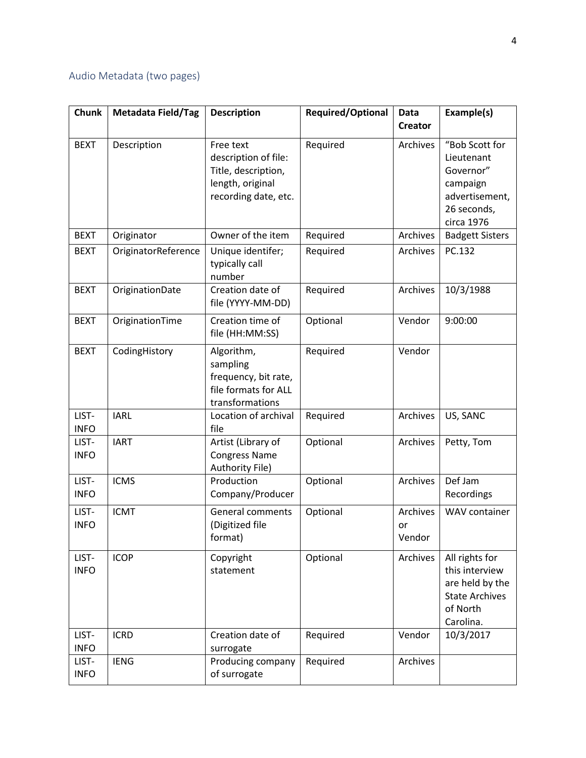# Audio Metadata (two pages)

| <b>Chunk</b>         | <b>Metadata Field/Tag</b> | <b>Description</b>                                                                                   | Required/Optional | Data<br><b>Creator</b>   | Example(s)                                                                                            |
|----------------------|---------------------------|------------------------------------------------------------------------------------------------------|-------------------|--------------------------|-------------------------------------------------------------------------------------------------------|
| <b>BEXT</b>          | Description               | Free text<br>description of file:<br>Title, description,<br>length, original<br>recording date, etc. | Required          | Archives                 | "Bob Scott for<br>Lieutenant<br>Governor"<br>campaign<br>advertisement,<br>26 seconds,<br>circa 1976  |
| <b>BEXT</b>          | Originator                | Owner of the item                                                                                    | Required          | Archives                 | <b>Badgett Sisters</b>                                                                                |
| <b>BEXT</b>          | OriginatorReference       | Unique identifer;<br>typically call<br>number                                                        | Required          | Archives                 | PC.132                                                                                                |
| <b>BEXT</b>          | OriginationDate           | Creation date of<br>file (YYYY-MM-DD)                                                                | Required          | Archives                 | 10/3/1988                                                                                             |
| <b>BEXT</b>          | OriginationTime           | Creation time of<br>file (HH:MM:SS)                                                                  | Optional          | Vendor                   | 9:00:00                                                                                               |
| <b>BEXT</b>          | CodingHistory             | Algorithm,<br>sampling<br>frequency, bit rate,<br>file formats for ALL<br>transformations            | Required          | Vendor                   |                                                                                                       |
| LIST-<br><b>INFO</b> | <b>IARL</b>               | Location of archival<br>file                                                                         | Required          | Archives                 | US, SANC                                                                                              |
| LIST-<br><b>INFO</b> | <b>IART</b>               | Artist (Library of<br><b>Congress Name</b><br>Authority File)                                        | Optional          | Archives                 | Petty, Tom                                                                                            |
| LIST-<br><b>INFO</b> | <b>ICMS</b>               | Production<br>Company/Producer                                                                       | Optional          | Archives                 | Def Jam<br>Recordings                                                                                 |
| LIST-<br><b>INFO</b> | <b>ICMT</b>               | <b>General comments</b><br>(Digitized file<br>format)                                                | Optional          | Archives<br>or<br>Vendor | WAV container                                                                                         |
| LIST-<br><b>INFO</b> | <b>ICOP</b>               | Copyright<br>statement                                                                               | Optional          | Archives                 | All rights for<br>this interview<br>are held by the<br><b>State Archives</b><br>of North<br>Carolina. |
| LIST-<br><b>INFO</b> | <b>ICRD</b>               | Creation date of<br>surrogate                                                                        | Required          | Vendor                   | 10/3/2017                                                                                             |
| LIST-<br><b>INFO</b> | <b>IENG</b>               | Producing company<br>of surrogate                                                                    | Required          | Archives                 |                                                                                                       |